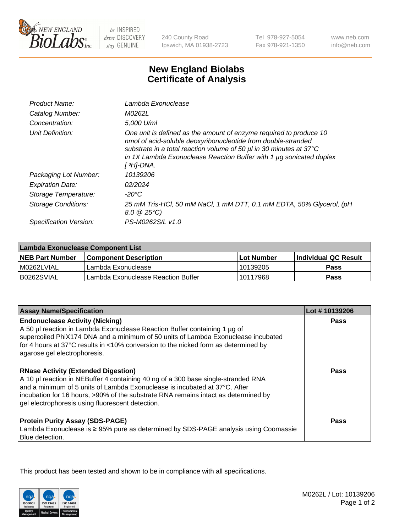

be INSPIRED drive DISCOVERY stay GENUINE

240 County Road Ipswich, MA 01938-2723

Tel 978-927-5054 Fax 978-921-1350

www.neb.com info@neb.com

## **New England Biolabs Certificate of Analysis**

| Product Name:           | Lambda Exonuclease                                                                                                                                                                                                                                                                                   |
|-------------------------|------------------------------------------------------------------------------------------------------------------------------------------------------------------------------------------------------------------------------------------------------------------------------------------------------|
| Catalog Number:         | M0262L                                                                                                                                                                                                                                                                                               |
| Concentration:          | 5.000 U/ml                                                                                                                                                                                                                                                                                           |
| Unit Definition:        | One unit is defined as the amount of enzyme required to produce 10<br>nmol of acid-soluble deoxyribonucleotide from double-stranded<br>substrate in a total reaction volume of 50 µl in 30 minutes at 37°C<br>in 1X Lambda Exonuclease Reaction Buffer with 1 $\mu$ g sonicated duplex<br>[ 3H]-DNA. |
| Packaging Lot Number:   | 10139206                                                                                                                                                                                                                                                                                             |
| <b>Expiration Date:</b> | 02/2024                                                                                                                                                                                                                                                                                              |
| Storage Temperature:    | $-20^{\circ}$ C                                                                                                                                                                                                                                                                                      |
| Storage Conditions:     | 25 mM Tris-HCl, 50 mM NaCl, 1 mM DTT, 0.1 mM EDTA, 50% Glycerol, (pH<br>$8.0 \ @ 25^{\circ}C$                                                                                                                                                                                                        |
| Specification Version:  | PS-M0262S/L v1.0                                                                                                                                                                                                                                                                                     |

| Lambda Exonuclease Component List |                                    |                   |                             |  |
|-----------------------------------|------------------------------------|-------------------|-----------------------------|--|
| <b>NEB Part Number</b>            | <b>Component Description</b>       | <b>Lot Number</b> | <b>Individual QC Result</b> |  |
| IM0262LVIAL                       | Lambda Exonuclease                 | 10139205          | <b>Pass</b>                 |  |
| IB0262SVIAL                       | Lambda Exonuclease Reaction Buffer | 10117968          | Pass                        |  |

| <b>Assay Name/Specification</b>                                                     | Lot #10139206 |
|-------------------------------------------------------------------------------------|---------------|
| <b>Endonuclease Activity (Nicking)</b>                                              | <b>Pass</b>   |
| A 50 µl reaction in Lambda Exonuclease Reaction Buffer containing 1 µg of           |               |
| supercoiled PhiX174 DNA and a minimum of 50 units of Lambda Exonuclease incubated   |               |
| for 4 hours at 37°C results in <10% conversion to the nicked form as determined by  |               |
| agarose gel electrophoresis.                                                        |               |
| <b>RNase Activity (Extended Digestion)</b>                                          | Pass          |
| A 10 µl reaction in NEBuffer 4 containing 40 ng of a 300 base single-stranded RNA   |               |
| and a minimum of 5 units of Lambda Exonuclease is incubated at 37°C. After          |               |
| incubation for 16 hours, >90% of the substrate RNA remains intact as determined by  |               |
| gel electrophoresis using fluorescent detection.                                    |               |
| <b>Protein Purity Assay (SDS-PAGE)</b>                                              | Pass          |
| Lambda Exonuclease is ≥ 95% pure as determined by SDS-PAGE analysis using Coomassie |               |
| Blue detection.                                                                     |               |

This product has been tested and shown to be in compliance with all specifications.